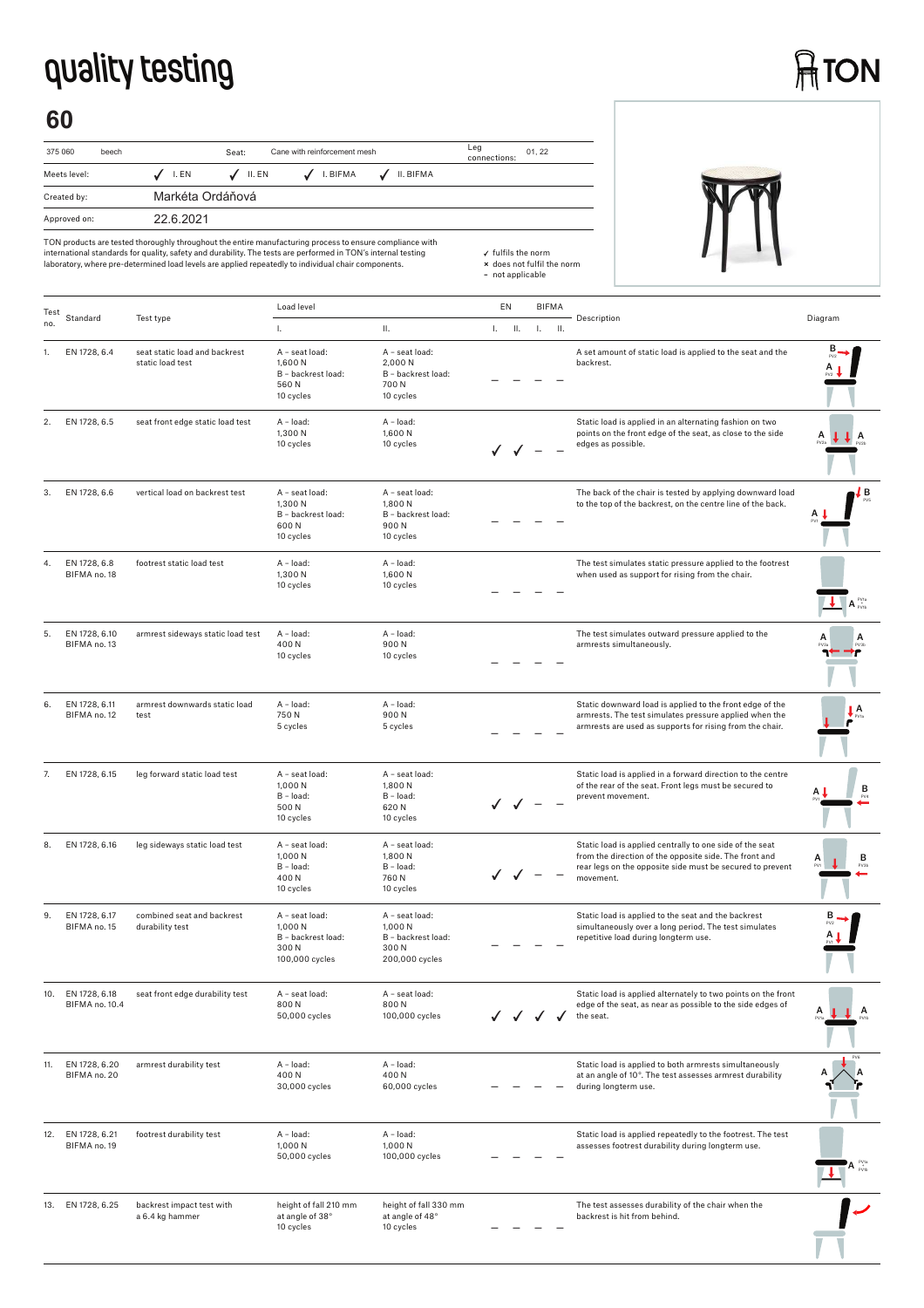## **quality testing**

## **ATON**

## **60**

| 375 060      | beech |                  | Seat:  | Cane with reinforcement mesh |           | Leg<br>connections: | 01.22 |
|--------------|-------|------------------|--------|------------------------------|-----------|---------------------|-------|
| Meets level: |       | I. EN            | II. EN | I. BIFMA                     | II. BIFMA |                     |       |
| Created by:  |       | Markéta Ordáňová |        |                              |           |                     |       |
| Approved on: |       | 22 6 2021        |        |                              |           |                     |       |



| Test |                                 |                                                   | Load level                                                                |                                                                           | EN |      | <b>BIFMA</b> |     |                                                                                                                                                                                              |                                |
|------|---------------------------------|---------------------------------------------------|---------------------------------------------------------------------------|---------------------------------------------------------------------------|----|------|--------------|-----|----------------------------------------------------------------------------------------------------------------------------------------------------------------------------------------------|--------------------------------|
| no.  | Standard                        | Test type                                         | Τ.                                                                        | ΙΙ.                                                                       | L. | H.   | L.           | II. | Description                                                                                                                                                                                  | Diagram                        |
|      | EN 1728, 6.4                    | seat static load and backrest<br>static load test | A - seat load:<br>1,600 N<br>B - backrest load:<br>560N<br>10 cycles      | A - seat load:<br>2,000 N<br>B - backrest load:<br>700 N<br>10 cycles     |    |      |              |     | A set amount of static load is applied to the seat and the<br>backrest.                                                                                                                      |                                |
| 2.   | EN 1728, 6.5                    | seat front edge static load test                  | A - load:<br>1,300 N<br>10 cycles                                         | A - load:<br>1,600 N<br>10 cycles                                         |    | JJ - |              |     | Static load is applied in an alternating fashion on two<br>points on the front edge of the seat, as close to the side<br>edges as possible.                                                  | A                              |
| 3.   | EN 1728, 6.6                    | vertical load on backrest test                    | A - seat load:<br>1,300 N<br>B - backrest load:<br>600N<br>10 cycles      | A - seat load:<br>1,800N<br>B - backrest load:<br>900N<br>10 cycles       |    |      |              |     | The back of the chair is tested by applying downward load<br>to the top of the backrest, on the centre line of the back.                                                                     | ĮВ                             |
| 4.   | EN 1728, 6.8<br>BIFMA no. 18    | footrest static load test                         | A - load:<br>1,300 N<br>10 cycles                                         | A - load:<br>1,600 N<br>10 cycles                                         |    |      |              |     | The test simulates static pressure applied to the footrest<br>when used as support for rising from the chair.                                                                                | $A_{\text{pwh}}^{\text{PV1a}}$ |
| 5.   | EN 1728, 6.10<br>BIFMA no. 13   | armrest sideways static load test                 | A - load:<br>400N<br>10 cycles                                            | A - load:<br>900N<br>10 cycles                                            |    |      |              |     | The test simulates outward pressure applied to the<br>armrests simultaneously.                                                                                                               |                                |
| 6.   | EN 1728, 6.11<br>BIFMA no. 12   | armrest downwards static load<br>test             | A - load:<br>750N<br>5 cycles                                             | A - load:<br>900N<br>5 cycles                                             |    |      |              |     | Static downward load is applied to the front edge of the<br>armrests. The test simulates pressure applied when the<br>armrests are used as supports for rising from the chair.               | A                              |
| 7.   | EN 1728, 6.15                   | leg forward static load test                      | A - seat load:<br>1,000 N<br>$B - load:$<br>500N<br>10 cycles             | A - seat load:<br>1,800 N<br>B - load:<br>620N<br>10 cycles               |    |      |              |     | Static load is applied in a forward direction to the centre<br>of the rear of the seat. Front legs must be secured to<br>prevent movement.                                                   | в                              |
| 8.   | EN 1728, 6.16                   | leg sideways static load test                     | A - seat load:<br>1,000 N<br>$B - load:$<br>400N<br>10 cycles             | A - seat load:<br>1,800 N<br>B - load:<br>760N<br>10 cycles               |    |      |              |     | Static load is applied centrally to one side of the seat<br>from the direction of the opposite side. The front and<br>rear legs on the opposite side must be secured to prevent<br>movement. | в                              |
| 9.   | EN 1728, 6.17<br>BIFMA no. 15   | combined seat and backrest<br>durability test     | A - seat load:<br>1,000 N<br>B - backrest load:<br>300N<br>100,000 cycles | A - seat load:<br>1,000 N<br>B - backrest load:<br>300N<br>200,000 cycles |    |      |              |     | Static load is applied to the seat and the backrest<br>simultaneously over a long period. The test simulates<br>repetitive load during longterm use.                                         |                                |
|      | EN 1728, 6.18<br>BIFMA no. 10.4 | seat front edge durability test                   | A - seat load:<br>800N<br>50,000 cycles                                   | A - seat load:<br>800N<br>100,000 cycles                                  |    |      |              |     | Static load is applied alternately to two points on the front<br>edge of the seat, as near as possible to the side edges of<br>the seat.                                                     | A                              |
| 11.  | EN 1728, 6.20<br>BIFMA no. 20   | armrest durability test                           | A - load:<br>400N<br>30,000 cycles                                        | A - load:<br>400N<br>60,000 cycles                                        |    |      |              |     | Static load is applied to both armrests simultaneously<br>at an angle of 10°. The test assesses armrest durability<br>during longterm use.                                                   |                                |
| 12.  | EN 1728, 6.21<br>BIFMA no. 19   | footrest durability test                          | A - load:<br>1,000N<br>50,000 cycles                                      | A - load:<br>1,000 N<br>100,000 cycles                                    |    |      |              |     | Static load is applied repeatedly to the footrest. The test<br>assesses footrest durability during longterm use.                                                                             |                                |
|      | 13. EN 1728, 6.25               | backrest impact test with<br>a 6.4 kg hammer      | height of fall 210 mm<br>at angle of 38°<br>10 cycles                     | height of fall 330 mm<br>at angle of 48°<br>10 cycles                     |    |      |              |     | The test assesses durability of the chair when the<br>backrest is hit from behind.                                                                                                           |                                |